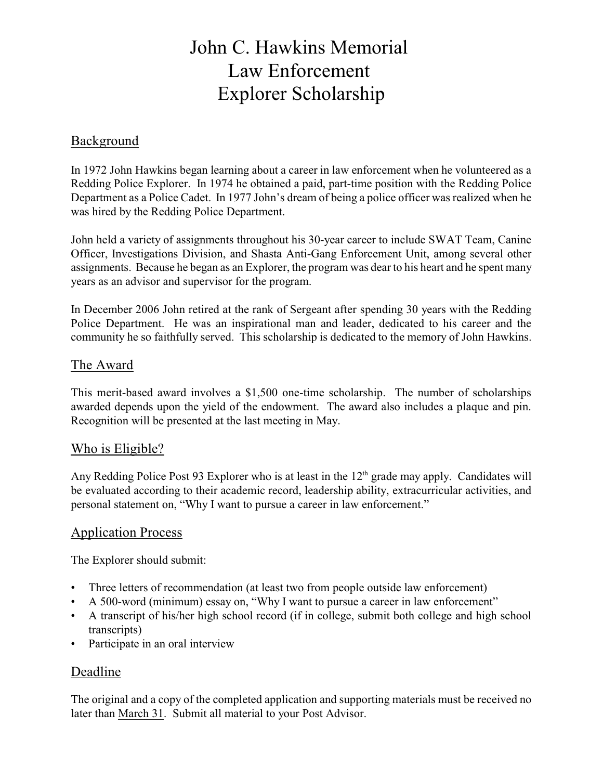# John C. Hawkins Memorial Law Enforcement Explorer Scholarship

## Background

In 1972 John Hawkins began learning about a career in law enforcement when he volunteered as a Redding Police Explorer. In 1974 he obtained a paid, part-time position with the Redding Police Department as a Police Cadet. In 1977 John's dream of being a police officer was realized when he was hired by the Redding Police Department.

John held a variety of assignments throughout his 30-year career to include SWAT Team, Canine Officer, Investigations Division, and Shasta Anti-Gang Enforcement Unit, among several other assignments. Because he began as an Explorer, the program was dear to his heart and he spent many years as an advisor and supervisor for the program.

In December 2006 John retired at the rank of Sergeant after spending 30 years with the Redding Police Department. He was an inspirational man and leader, dedicated to his career and the community he so faithfully served. This scholarship is dedicated to the memory of John Hawkins.

## The Award

This merit-based award involves a \$1,500 one-time scholarship. The number of scholarships awarded depends upon the yield of the endowment. The award also includes a plaque and pin. Recognition will be presented at the last meeting in May.

## Who is Eligible?

Any Redding Police Post 93 Explorer who is at least in the 12<sup>th</sup> grade may apply. Candidates will be evaluated according to their academic record, leadership ability, extracurricular activities, and personal statement on, "Why I want to pursue a career in law enforcement."

## Application Process

The Explorer should submit:

- Three letters of recommendation (at least two from people outside law enforcement)
- A 500-word (minimum) essay on, "Why I want to pursue a career in law enforcement"
- A transcript of his/her high school record (if in college, submit both college and high school transcripts)
- Participate in an oral interview

## Deadline

The original and a copy of the completed application and supporting materials must be received no later than March 31. Submit all material to your Post Advisor.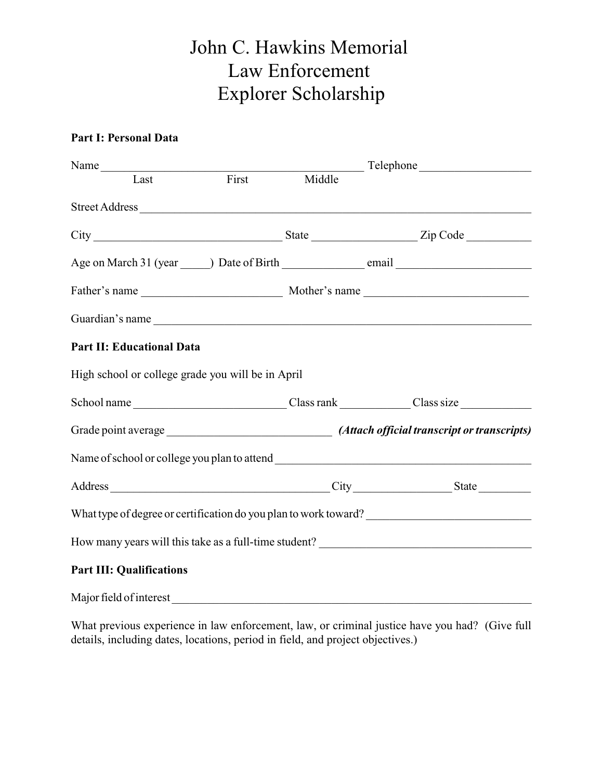# John C. Hawkins Memorial Law Enforcement Explorer Scholarship

### **Part I: Personal Data**

| Name                                              |       |        |  |
|---------------------------------------------------|-------|--------|--|
| Last                                              | First | Middle |  |
| Street Address                                    |       |        |  |
|                                                   |       |        |  |
|                                                   |       |        |  |
|                                                   |       |        |  |
| Guardian's name                                   |       |        |  |
| <b>Part II: Educational Data</b>                  |       |        |  |
| High school or college grade you will be in April |       |        |  |
|                                                   |       |        |  |
|                                                   |       |        |  |
|                                                   |       |        |  |
|                                                   |       |        |  |
|                                                   |       |        |  |
|                                                   |       |        |  |
| <b>Part III: Qualifications</b>                   |       |        |  |
| Major field of interest                           |       |        |  |

What previous experience in law enforcement, law, or criminal justice have you had? (Give full details, including dates, locations, period in field, and project objectives.)